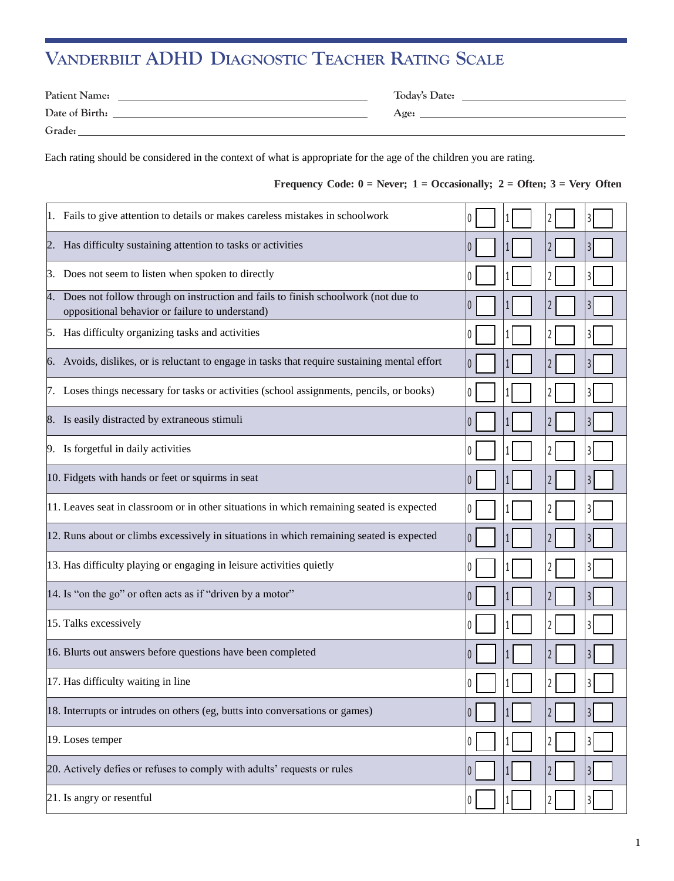# **VANDERBILT ADHD DIAGNOSTIC TEACHER RATING SCALE**

| <b>Patient Name:</b> | Today's Date: |
|----------------------|---------------|
| Date of Birth:       | Age:          |
| Grade:               |               |

Each rating should be considered in the context of what is appropriate for the age of the children you are rating.

#### **Frequency** Code:  $0 =$  Never;  $1 =$  Occasionally;  $2 =$  Often;  $3 =$  Very Often

| 1. Fails to give attention to details or makes careless mistakes in schoolwork                                                          |                |
|-----------------------------------------------------------------------------------------------------------------------------------------|----------------|
| 2. Has difficulty sustaining attention to tasks or activities                                                                           |                |
| 3. Does not seem to listen when spoken to directly                                                                                      |                |
| 4. Does not follow through on instruction and fails to finish schoolwork (not due to<br>oppositional behavior or failure to understand) |                |
| 5. Has difficulty organizing tasks and activities                                                                                       | 3              |
| 6. Avoids, dislikes, or is reluctant to engage in tasks that require sustaining mental effort                                           |                |
| 7. Loses things necessary for tasks or activities (school assignments, pencils, or books)                                               | 3              |
| 8. Is easily distracted by extraneous stimuli                                                                                           |                |
| 9. Is forgetful in daily activities                                                                                                     |                |
| 10. Fidgets with hands or feet or squirms in seat                                                                                       |                |
| 11. Leaves seat in classroom or in other situations in which remaining seated is expected                                               | 3              |
| 12. Runs about or climbs excessively in situations in which remaining seated is expected                                                |                |
| 13. Has difficulty playing or engaging in leisure activities quietly                                                                    | 3              |
| 14. Is "on the go" or often acts as if "driven by a motor"                                                                              |                |
| 15. Talks excessively                                                                                                                   | 3              |
| 16. Blurts out answers before questions have been completed                                                                             |                |
| 17. Has difficulty waiting in line                                                                                                      |                |
| 18. Interrupts or intrudes on others (eg, butts into conversations or games)                                                            | 3              |
| 19. Loses temper                                                                                                                        | 3              |
| 20. Actively defies or refuses to comply with adults' requests or rules                                                                 | 3              |
| 21. Is angry or resentful                                                                                                               | $\overline{3}$ |